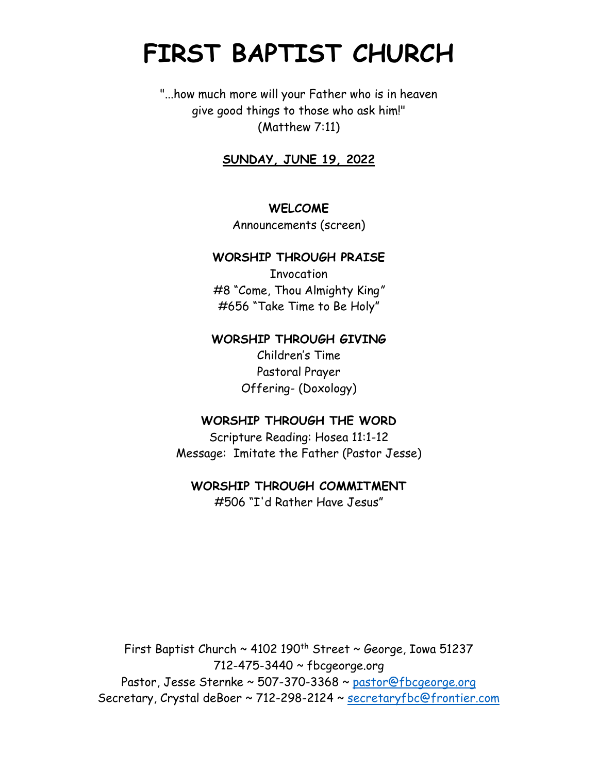# **FIRST BAPTIST CHURCH**

"...how much more will your Father who is in heaven give good things to those who ask him!" (Matthew 7:11)

# **SUNDAY, JUNE 19, 2022**

#### **WELCOME**

Announcements (screen)

#### **WORSHIP THROUGH PRAISE**

Invocation #8 "Come, Thou Almighty King*"* #656 "Take Time to Be Holy"

## **WORSHIP THROUGH GIVING**

Children's Time Pastoral Prayer Offering- (Doxology)

#### **WORSHIP THROUGH THE WORD**

Scripture Reading: Hosea 11:1-12 Message: Imitate the Father (Pastor Jesse)

## **WORSHIP THROUGH COMMITMENT**

#506 "I'd Rather Have Jesus"

First Baptist Church  $\sim$  4102 190<sup>th</sup> Street  $\sim$  George, Iowa 51237 712-475-3440 ~ fbcgeorge.org Pastor, Jesse Sternke ~ 507-370-3368 ~ pastor@fbcgeorge.org Secretary, Crystal deBoer ~ 712-298-2124 ~ [secretaryfbc@frontier.com](mailto:secretaryfbc@frontier.com)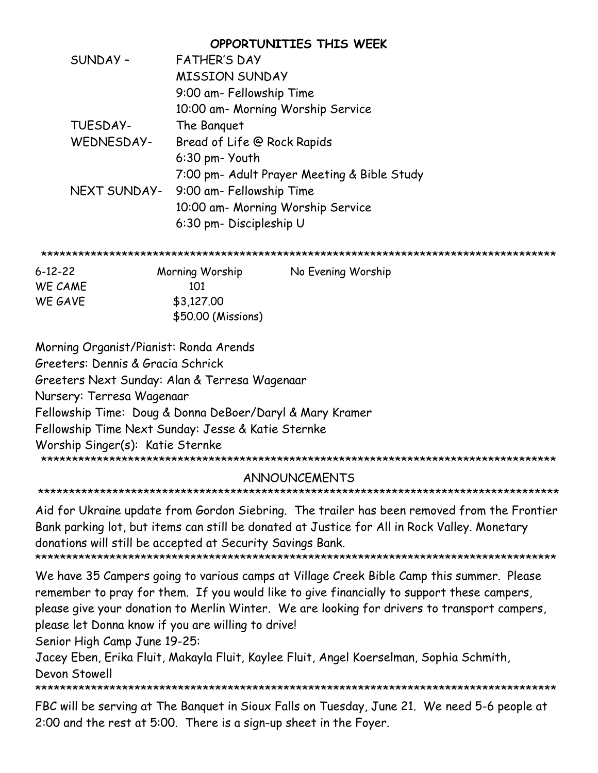|              | OPPORTUNITIES THIS WEEK                     |
|--------------|---------------------------------------------|
| SUNDAY-      | <b>FATHER'S DAY</b>                         |
|              | <b>MISSION SUNDAY</b>                       |
|              | 9:00 am- Fellowship Time                    |
|              | 10:00 am- Morning Worship Service           |
| TUESDAY-     | The Banguet                                 |
| WEDNESDAY-   | Bread of Life @ Rock Rapids                 |
|              | 6:30 pm- Youth                              |
|              | 7:00 pm- Adult Prayer Meeting & Bible Study |
| NEXT SUNDAY- | 9:00 am- Fellowship Time                    |
|              | 10:00 am- Morning Worship Service           |
|              | 6:30 pm- Discipleship U                     |

| 6-12-22 | Morning Worship    | No Evening Worship |
|---------|--------------------|--------------------|
| WE CAME | 101                |                    |
| WE GAVE | \$3,127,00         |                    |
|         | \$50.00 (Missions) |                    |

Morning Organist/Pianist: Ronda Arends Greeters: Dennis & Gracia Schrick Greeters Next Sunday: Alan & Terresa Wagenaar Nursery: Terresa Wagenaar Fellowship Time: Doug & Donna DeBoer/Daryl & Mary Kramer Fellowship Time Next Sunday: Jesse & Katie Sternke Worship Singer(s): Katie Sternke 

# **ANNOUNCEMENTS**

Aid for Ukraine update from Gordon Siebring. The trailer has been removed from the Frontier Bank parking lot, but items can still be donated at Justice for All in Rock Valley. Monetary donations will still be accepted at Security Savings Bank. 

We have 35 Campers going to various camps at Village Creek Bible Camp this summer. Please

remember to pray for them. If you would like to give financially to support these campers, please give your donation to Merlin Winter. We are looking for drivers to transport campers, please let Donna know if you are willing to drive!

Senior High Camp June 19-25:

Jacey Eben, Erika Fluit, Makayla Fluit, Kaylee Fluit, Angel Koerselman, Sophia Schmith, Devon Stowell

FBC will be serving at The Banquet in Sioux Falls on Tuesday, June 21. We need 5-6 people at 2:00 and the rest at 5:00. There is a sign-up sheet in the Foyer.